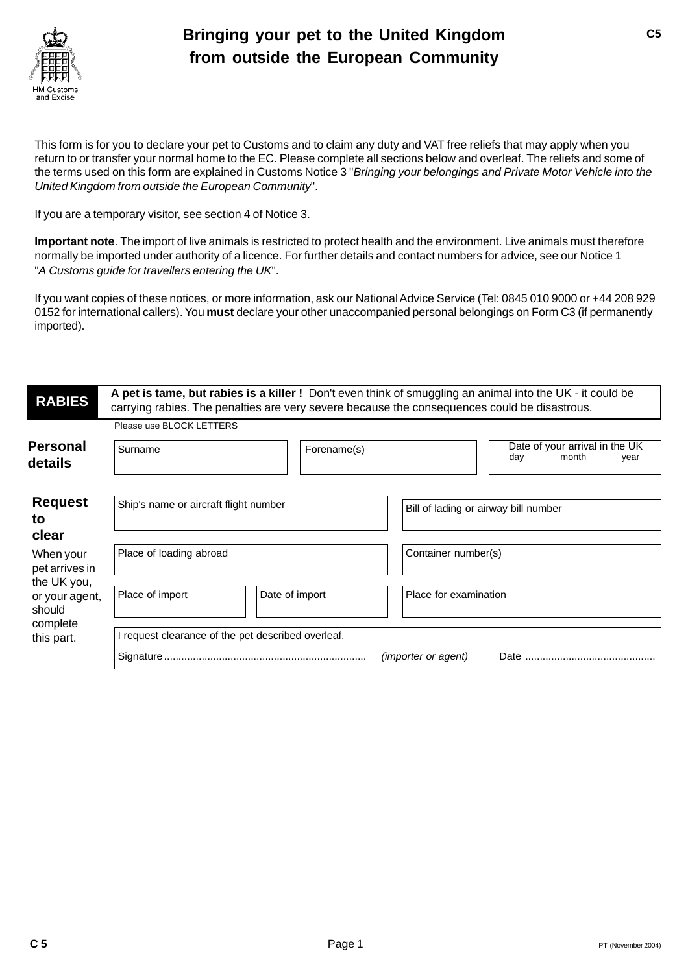

# **Bringing your pet to the United Kingdom from outside the European Community**

This form is for you to declare your pet to Customs and to claim any duty and VAT free reliefs that may apply when you return to or transfer your normal home to the EC. Please complete all sections below and overleaf. The reliefs and some of the terms used on this form are explained in Customs Notice 3 "Bringing your belongings and Private Motor Vehicle into the United Kingdom from outside the European Community".

If you are a temporary visitor, see section 4 of Notice 3.

**Important note**. The import of live animals is restricted to protect health and the environment. Live animals must therefore normally be imported under authority of a licence. For further details and contact numbers for advice, see our Notice 1 "A Customs guide for travellers entering the UK".

If you want copies of these notices, or more information, ask our National Advice Service (Tel: 0845 010 9000 or +44 208 929 0152 for international callers). You **must** declare your other unaccompanied personal belongings on Form C3 (if permanently imported).

| <b>RABIES</b>               | A pet is tame, but rabies is a killer ! Don't even think of smuggling an animal into the UK - it could be<br>carrying rabies. The penalties are very severe because the consequences could be disastrous. |                |                                      |                                                        |  |  |
|-----------------------------|-----------------------------------------------------------------------------------------------------------------------------------------------------------------------------------------------------------|----------------|--------------------------------------|--------------------------------------------------------|--|--|
|                             | Please use BLOCK LETTERS                                                                                                                                                                                  |                |                                      |                                                        |  |  |
| Personal<br>details         | Surname                                                                                                                                                                                                   | Forename(s)    |                                      | Date of your arrival in the UK<br>day<br>month<br>year |  |  |
|                             |                                                                                                                                                                                                           |                |                                      |                                                        |  |  |
| <b>Request</b><br>to        | Ship's name or aircraft flight number                                                                                                                                                                     |                | Bill of lading or airway bill number |                                                        |  |  |
| clear                       |                                                                                                                                                                                                           |                |                                      |                                                        |  |  |
| When your<br>pet arrives in | Place of loading abroad                                                                                                                                                                                   |                | Container number(s)                  |                                                        |  |  |
| the UK you,                 |                                                                                                                                                                                                           |                |                                      |                                                        |  |  |
| or your agent,<br>should    | Place of import                                                                                                                                                                                           | Date of import | Place for examination                |                                                        |  |  |
| complete                    |                                                                                                                                                                                                           |                |                                      |                                                        |  |  |
| this part.                  | I request clearance of the pet described overleaf.                                                                                                                                                        |                |                                      |                                                        |  |  |
|                             |                                                                                                                                                                                                           |                | <i>(importer or agent)</i>           |                                                        |  |  |